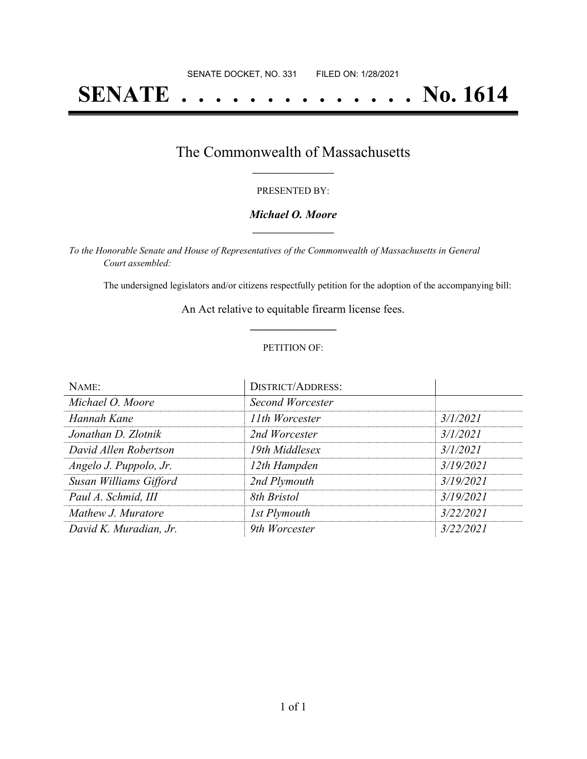# **SENATE . . . . . . . . . . . . . . No. 1614**

## The Commonwealth of Massachusetts **\_\_\_\_\_\_\_\_\_\_\_\_\_\_\_\_\_**

#### PRESENTED BY:

#### *Michael O. Moore* **\_\_\_\_\_\_\_\_\_\_\_\_\_\_\_\_\_**

*To the Honorable Senate and House of Representatives of the Commonwealth of Massachusetts in General Court assembled:*

The undersigned legislators and/or citizens respectfully petition for the adoption of the accompanying bill:

An Act relative to equitable firearm license fees. **\_\_\_\_\_\_\_\_\_\_\_\_\_\_\_**

#### PETITION OF:

| NAME:                  | <b>DISTRICT/ADDRESS:</b> |           |
|------------------------|--------------------------|-----------|
| Michael O. Moore       | Second Worcester         |           |
| Hannah Kane            | 11th Worcester           | 3/1/2021  |
| Jonathan D. Zlotnik    | 2nd Worcester            | 3/1/2021  |
| David Allen Robertson  | 19th Middlesex           | 3/1/2021  |
| Angelo J. Puppolo, Jr. | 12th Hampden             | 3/19/2021 |
| Susan Williams Gifford | 2nd Plymouth             | 3/19/2021 |
| Paul A. Schmid, III    | 8th Bristol              | 3/19/2021 |
| Mathew J. Muratore     | 1st Plymouth             | 3/22/2021 |
| David K. Muradian, Jr. | 9th Worcester            | 3/22/2021 |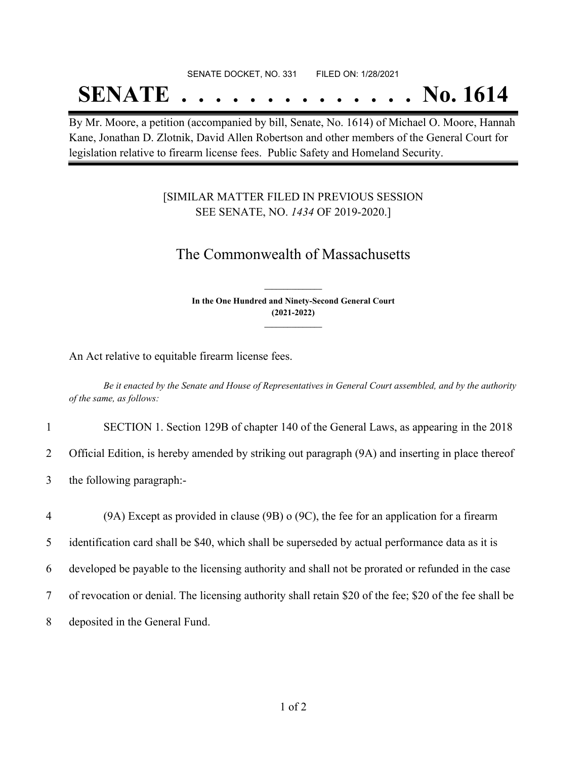#### SENATE DOCKET, NO. 331 FILED ON: 1/28/2021

## **SENATE . . . . . . . . . . . . . . No. 1614**

By Mr. Moore, a petition (accompanied by bill, Senate, No. 1614) of Michael O. Moore, Hannah Kane, Jonathan D. Zlotnik, David Allen Robertson and other members of the General Court for legislation relative to firearm license fees. Public Safety and Homeland Security.

### [SIMILAR MATTER FILED IN PREVIOUS SESSION SEE SENATE, NO. *1434* OF 2019-2020.]

## The Commonwealth of Massachusetts

**In the One Hundred and Ninety-Second General Court (2021-2022) \_\_\_\_\_\_\_\_\_\_\_\_\_\_\_**

**\_\_\_\_\_\_\_\_\_\_\_\_\_\_\_**

An Act relative to equitable firearm license fees.

Be it enacted by the Senate and House of Representatives in General Court assembled, and by the authority *of the same, as follows:*

1 SECTION 1. Section 129B of chapter 140 of the General Laws, as appearing in the 2018

2 Official Edition, is hereby amended by striking out paragraph (9A) and inserting in place thereof

3 the following paragraph:-

 (9A) Except as provided in clause (9B) o (9C), the fee for an application for a firearm identification card shall be \$40, which shall be superseded by actual performance data as it is developed be payable to the licensing authority and shall not be prorated or refunded in the case of revocation or denial. The licensing authority shall retain \$20 of the fee; \$20 of the fee shall be deposited in the General Fund.